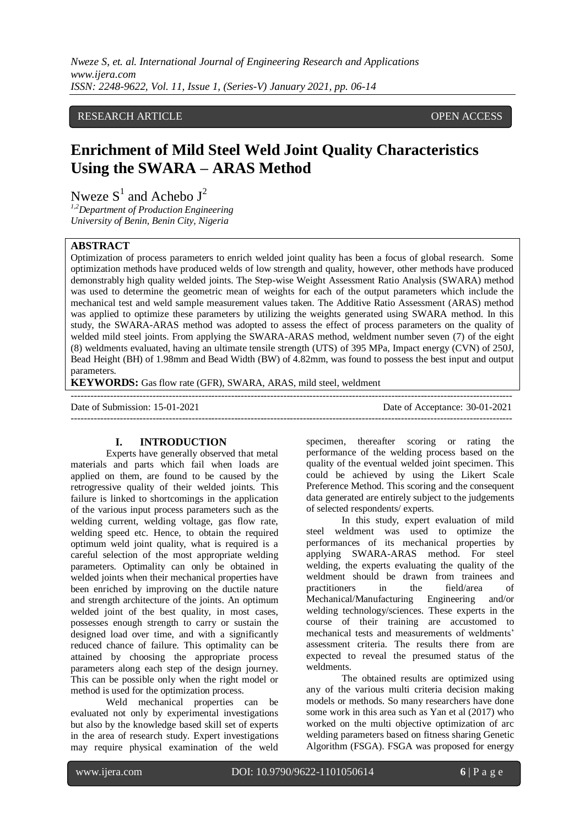# RESEARCH ARTICLE OPEN ACCESS

# **Enrichment of Mild Steel Weld Joint Quality Characteristics Using the SWARA – ARAS Method**

Nweze  $S^1$  and Achebo  $J^2$ 

*1,2Department of Production Engineering University of Benin, Benin City, Nigeria*

### **ABSTRACT**

Optimization of process parameters to enrich welded joint quality has been a focus of global research. Some optimization methods have produced welds of low strength and quality, however, other methods have produced demonstrably high quality welded joints. The Step-wise Weight Assessment Ratio Analysis (SWARA) method was used to determine the geometric mean of weights for each of the output parameters which include the mechanical test and weld sample measurement values taken. The Additive Ratio Assessment (ARAS) method was applied to optimize these parameters by utilizing the weights generated using SWARA method. In this study, the SWARA-ARAS method was adopted to assess the effect of process parameters on the quality of welded mild steel joints. From applying the SWARA-ARAS method, weldment number seven (7) of the eight (8) weldments evaluated, having an ultimate tensile strength (UTS) of 395 MPa, Impact energy (CVN) of 250J, Bead Height (BH) of 1.98mm and Bead Width (BW) of 4.82mm, was found to possess the best input and output parameters.

**KEYWORDS:** Gas flow rate (GFR), SWARA, ARAS, mild steel, weldment

---------------------------------------------------------------------------------------------------------------------------------------

Date of Submission: 15-01-2021 Date of Acceptance: 30-01-2021

## **I. INTRODUCTION**

Experts have generally observed that metal materials and parts which fail when loads are applied on them, are found to be caused by the retrogressive quality of their welded joints. This failure is linked to shortcomings in the application of the various input process parameters such as the welding current, welding voltage, gas flow rate, welding speed etc. Hence, to obtain the required optimum weld joint quality, what is required is a careful selection of the most appropriate welding parameters. Optimality can only be obtained in welded joints when their mechanical properties have been enriched by improving on the ductile nature and strength architecture of the joints. An optimum welded joint of the best quality, in most cases, possesses enough strength to carry or sustain the designed load over time, and with a significantly reduced chance of failure. This optimality can be attained by choosing the appropriate process parameters along each step of the design journey. This can be possible only when the right model or method is used for the optimization process.

Weld mechanical properties can be evaluated not only by experimental investigations but also by the knowledge based skill set of experts in the area of research study. Expert investigations may require physical examination of the weld specimen, thereafter scoring or rating the performance of the welding process based on the quality of the eventual welded joint specimen. This could be achieved by using the Likert Scale Preference Method. This scoring and the consequent data generated are entirely subject to the judgements of selected respondents/ experts.

In this study, expert evaluation of mild steel weldment was used to optimize the performances of its mechanical properties by applying SWARA-ARAS method. For steel welding, the experts evaluating the quality of the weldment should be drawn from trainees and practitioners in the field/area of Mechanical/Manufacturing Engineering and/or welding technology/sciences. These experts in the course of their training are accustomed to mechanical tests and measurements of weldments' assessment criteria. The results there from are expected to reveal the presumed status of the weldments.

The obtained results are optimized using any of the various multi criteria decision making models or methods. So many researchers have done some work in this area such as Yan et al (2017) who worked on the multi objective optimization of arc welding parameters based on fitness sharing Genetic Algorithm (FSGA). FSGA was proposed for energy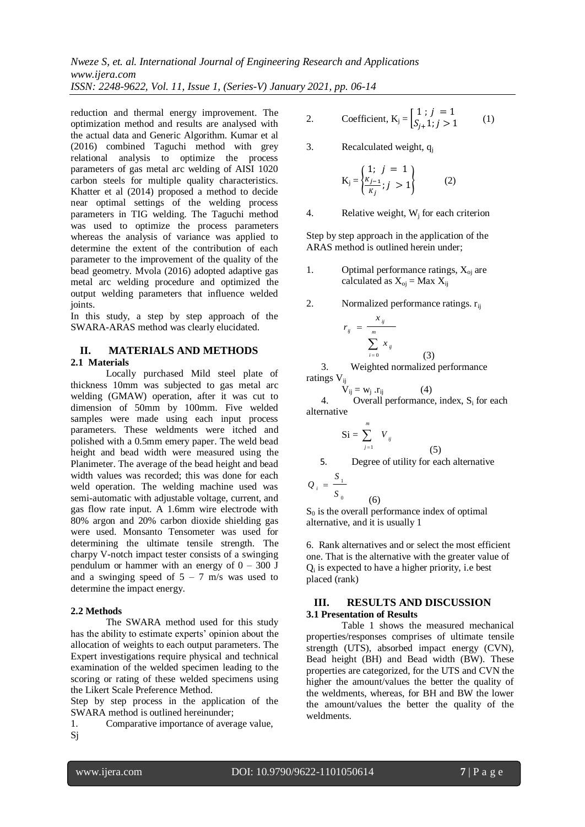reduction and thermal energy improvement. The optimization method and results are analysed with the actual data and Generic Algorithm. Kumar et al (2016) combined Taguchi method with grey relational analysis to optimize the process parameters of gas metal arc welding of AISI 1020 carbon steels for multiple quality characteristics. Khatter et al (2014) proposed a method to decide near optimal settings of the welding process parameters in TIG welding. The Taguchi method was used to optimize the process parameters whereas the analysis of variance was applied to determine the extent of the contribution of each parameter to the improvement of the quality of the bead geometry. Mvola (2016) adopted adaptive gas metal arc welding procedure and optimized the output welding parameters that influence welded joints.

In this study, a step by step approach of the SWARA-ARAS method was clearly elucidated.

# **II. MATERIALS AND METHODS 2.1 Materials**

Locally purchased Mild steel plate of thickness 10mm was subjected to gas metal arc welding (GMAW) operation, after it was cut to dimension of 50mm by 100mm. Five welded samples were made using each input process parameters. These weldments were itched and polished with a 0.5mm emery paper. The weld bead height and bead width were measured using the Planimeter. The average of the bead height and bead width values was recorded; this was done for each weld operation. The welding machine used was semi-automatic with adjustable voltage, current, and gas flow rate input. A 1.6mm wire electrode with 80% argon and 20% carbon dioxide shielding gas were used. Monsanto Tensometer was used for determining the ultimate tensile strength. The charpy V-notch impact tester consists of a swinging pendulum or hammer with an energy of  $0 - 300$  J and a swinging speed of  $5 - 7$  m/s was used to determine the impact energy.

### **2.2 Methods**

The SWARA method used for this study has the ability to estimate experts' opinion about the allocation of weights to each output parameters. The Expert investigations require physical and technical examination of the welded specimen leading to the scoring or rating of these welded specimens using the Likert Scale Preference Method.

Step by step process in the application of the SWARA method is outlined hereinunder;

1. Comparative importance of average value, Sj

2. Coefficient, 
$$
K_j = \begin{cases} 1; j = 1 \\ S_{j+1}; j > 1 \end{cases}
$$
 (1)

3. Recalculated weight, q<sup>j</sup>

$$
K_{j} = \begin{cases} 1; & j = 1 \\ \frac{K_{j-1}}{K_{j}}; & j > 1 \end{cases}
$$
 (2)

4. Relative weight,  $W_i$  for each criterion

Step by step approach in the application of the ARAS method is outlined herein under;

- 1. Optimal performance ratings,  $X_{oj}$  are calculated as  $X_{oj}$  = Max  $X_{ij}$
- 2. Normalized performance ratings.  $r_{ii}$

$$
y_{ij} = \frac{x_{ij}}{\sum_{j} x_{ij}}
$$

*r*

 *i*  $(3)$  3. Weighted normalized performance ratings V<sub>ij</sub>

 $V_{ij} = W_j \cdot r_{ij}$  (4) 4. Overall performance, index,  $S_i$  for each alternative

$$
Si = \sum_{j=1}^{m} V_{ij}
$$

(6)

5. Degree of utility for each alternative

(5)

$$
Q_i = \frac{S_1}{S_0}
$$

 $S<sub>0</sub>$  is the overall performance index of optimal alternative, and it is usually 1

6. Rank alternatives and or select the most efficient one. That is the alternative with the greater value of Qi is expected to have a higher priority, i.e best placed (rank)

#### **III. RESULTS AND DISCUSSION 3.1 Presentation of Results**

Table 1 shows the measured mechanical properties/responses comprises of ultimate tensile strength (UTS), absorbed impact energy (CVN), Bead height (BH) and Bead width (BW). These properties are categorized, for the UTS and CVN the higher the amount/values the better the quality of the weldments, whereas, for BH and BW the lower the amount/values the better the quality of the weldments.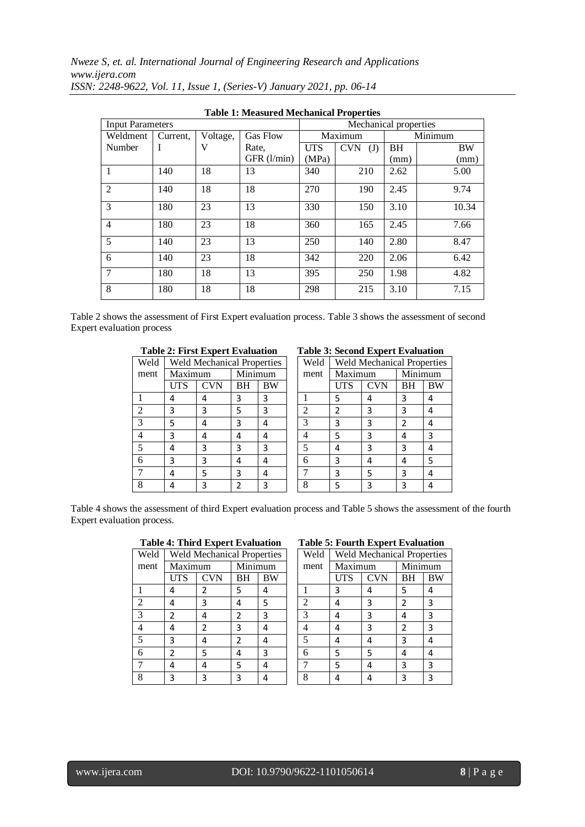|                         | Table 1. Measured Mechanical I Toperues |          |                       |            |                   |         |           |  |  |
|-------------------------|-----------------------------------------|----------|-----------------------|------------|-------------------|---------|-----------|--|--|
| <b>Input Parameters</b> |                                         |          | Mechanical properties |            |                   |         |           |  |  |
| Weldment                | Current,                                | Voltage, | Gas Flow              |            | Maximum           | Minimum |           |  |  |
| Number                  | I                                       | V        | Rate,                 | <b>UTS</b> | <b>CVN</b><br>(J) | BH      | <b>BW</b> |  |  |
|                         |                                         |          | GFR (l/min)           | (MPa)      |                   | (mm)    | (mm)      |  |  |
|                         | 140                                     | 18       | 13                    | 340        | 210               | 2.62    | 5.00      |  |  |
| $\overline{2}$          | 140                                     | 18       | 18                    | 270        | 190               | 2.45    | 9.74      |  |  |
| 3                       | 180                                     | 23       | 13                    | 330        | 150               | 3.10    | 10.34     |  |  |
| $\overline{4}$          | 180                                     | 23       | 18                    | 360        | 165               | 2.45    | 7.66      |  |  |
| 5                       | 140                                     | 23       | 13                    | 250        | 140               | 2.80    | 8.47      |  |  |
| 6                       | 140                                     | 23       | 18                    | 342        | 220               | 2.06    | 6.42      |  |  |
| $\tau$                  | 180                                     | 18       | 13                    | 395        | 250               | 1.98    | 4.82      |  |  |
| 8                       | 180                                     | 18       | 18                    | 298        | 215               | 3.10    | 7.15      |  |  |

**Table 1: Measured Mechanical Properties**

Table 2 shows the assessment of First Expert evaluation process. Table 3 shows the assessment of second Expert evaluation process

# **Table 2: First Expert Evaluation Table 3: Second Expert Evaluation**

| Weld |         | <b>Weld Mechanical Properties</b> |    |         |  | Weld |     | Weld Mechanical Proper |    |      |         |  |        |  |
|------|---------|-----------------------------------|----|---------|--|------|-----|------------------------|----|------|---------|--|--------|--|
| ment | Maximum |                                   |    | Minimum |  |      |     |                        |    | ment | Maximum |  | Minimu |  |
|      | UTS     | CVN                               | BН | BW      |  |      | UTS | <b>CVN</b>             | BH | E    |         |  |        |  |
|      | 4       | 4                                 | 3  | 3       |  |      | 5   |                        | 3  | 4    |         |  |        |  |
|      | 3       | 3                                 | 5  | 3       |  |      |     |                        | 3  | 4    |         |  |        |  |
| 3    | 5       | 4                                 | 3  |         |  | 3    | 3   | 3                      | 2  | 4    |         |  |        |  |
| 4    | 3       | 4                                 | 4  |         |  |      | 5   | 3                      | 4  | 3    |         |  |        |  |
|      | 4       | 3                                 | 3  | 3       |  |      |     | 3                      | 3  | 4    |         |  |        |  |
| 6    | 3       | 3                                 | 4  |         |  | 6    | 3   |                        | 4  | 5    |         |  |        |  |
|      | 4       | 5                                 | 3  |         |  |      | 3   | 5                      | 3  | 4    |         |  |        |  |
| 8    |         | ੨                                 |    |         |  |      |     |                        |    |      |         |  |        |  |

| <b>Weld Mechanical Properties</b> |                    |    | Weld<br><b>Weld Mechanical Properties</b> |      |         |            |           |    |
|-----------------------------------|--------------------|----|-------------------------------------------|------|---------|------------|-----------|----|
|                                   | Maximum<br>Minimum |    |                                           | ment | Maximum |            | Minimum   |    |
| UTS                               | <b>CVN</b>         | ΒH | BW                                        |      | UTS     | <b>CVN</b> | <b>BH</b> | BW |
| 4                                 | 4                  | 3  | 3                                         |      | 5       | 4          | 3         |    |
| 3                                 | 3                  | 5  | 3                                         |      | 2       | 3          | 3         |    |
| 5                                 | 4                  | 3  |                                           |      | 3       | ς          | 2         |    |
| 3                                 | 4                  | 4  |                                           |      | 5       | 3          |           | 3  |
| 4                                 | 3                  | 3  | 3                                         |      | 4       | 3          | 3         |    |
| 3                                 | 3                  | 4  | 4                                         | 6    | 3       | 4          |           | 5  |
| 4                                 | 5                  | 3  |                                           |      | 3       | 5          | 3         |    |
| 4                                 |                    |    |                                           |      |         |            |           |    |

Table 4 shows the assessment of third Expert evaluation process and Table 5 shows the assessment of the fourth Expert evaluation process.

| Weld |         | <b>Weld Mechanical Properties</b> |                |         |  | Weld |     | Weld Mechanical Proper |               |                |  |
|------|---------|-----------------------------------|----------------|---------|--|------|-----|------------------------|---------------|----------------|--|
| ment | Maximum |                                   |                | Minimum |  | ment |     | Maximum                |               | Minimu         |  |
|      | UTS     | CVN                               | ΒH             | BW      |  |      | UTS | <b>CVN</b>             | ΒH            | E              |  |
|      | 4       |                                   | 5              |         |  |      | 3   |                        | 5             | 4              |  |
|      | 4       | 3                                 | 4              | 5       |  |      |     |                        | 2             | 3              |  |
| 3    | 2       | 4                                 | $\overline{2}$ | 3       |  | 3    | 4   | 3                      | 4             | $\overline{3}$ |  |
|      | 4       | 2                                 | 3              |         |  |      |     | ς                      | $\mathfrak z$ | 3              |  |
|      | 3       | 4                                 | $\mathfrak{p}$ |         |  |      |     |                        | 3             | 4              |  |
| 6    | 2       | 5                                 | 4              | 3       |  | 6    | 5   | 5                      | 4             | 4              |  |
|      | 4       | 4                                 | 5              |         |  |      | 5   |                        | 3             | 3              |  |
| 8    | 3       | 3                                 | 3              |         |  |      |     |                        | ς             | 3              |  |

#### **Table 4: Third Expert Evaluation Table 5: Fourth Expert Evaluation**

| <b>Weld Mechanical Properties</b><br>Minimum |    |
|----------------------------------------------|----|
|                                              |    |
|                                              |    |
| BH                                           | ВW |
| 5                                            | 4  |
| 2                                            | 3  |
| 4                                            | 3  |
| 2                                            | 3  |
| 3                                            | 4  |
| 4                                            | 4  |
| 3                                            | 3  |
|                                              |    |
|                                              |    |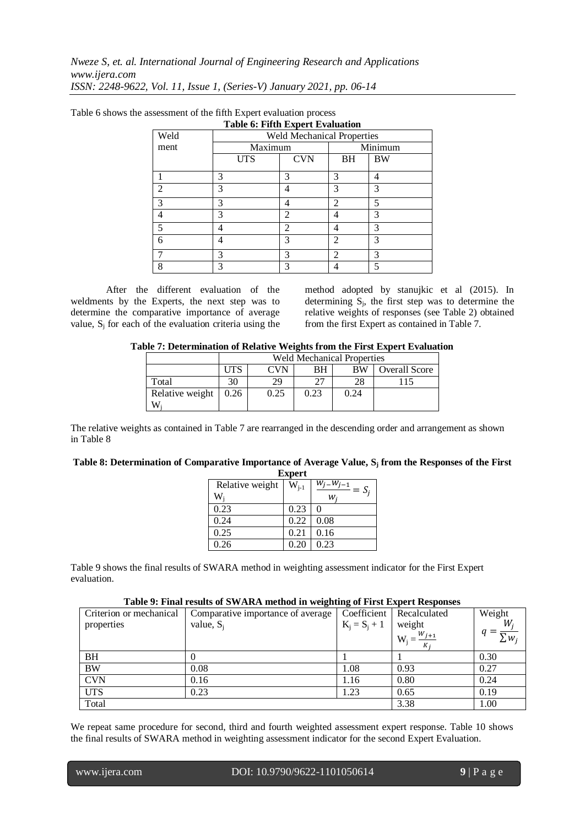|                | таріє ў, гіпш барсі і буанацоп    |                |                |    |  |  |  |
|----------------|-----------------------------------|----------------|----------------|----|--|--|--|
| Weld           | <b>Weld Mechanical Properties</b> |                |                |    |  |  |  |
| ment           | Maximum                           |                | Minimum        |    |  |  |  |
|                | <b>UTS</b>                        | <b>CVN</b>     | BH             | BW |  |  |  |
|                | 3                                 | 3              | 3              | 4  |  |  |  |
| $\overline{2}$ | 3                                 | 4              | 3              | 3  |  |  |  |
| 3              | 3                                 | 4              | 2              | 5  |  |  |  |
| 4              | 3                                 | $\mathfrak{D}$ | 4              | 3  |  |  |  |
| 5              | 4                                 | $\overline{2}$ | 4              | 3  |  |  |  |
| 6              |                                   | 3              | $\mathcal{D}$  | 3  |  |  |  |
|                | 3                                 | 3              | $\mathfrak{D}$ | 3  |  |  |  |
| 8              | 3                                 | 3              |                | 5  |  |  |  |

Table 6 shows the assessment of the fifth Expert evaluation process **Table 6: Fifth Expert Evaluation**

After the different evaluation of the weldments by the Experts, the next step was to determine the comparative importance of average value,  $S_i$  for each of the evaluation criteria using the method adopted by stanujkic et al (2015). In determining  $S_j$ , the first step was to determine the relative weights of responses (see Table 2) obtained from the first Expert as contained in Table 7.

| Table 7: Determination of Relative Weights from the First Expert Evaluation |  |  |  |  |
|-----------------------------------------------------------------------------|--|--|--|--|
|                                                                             |  |  |  |  |

|                 |      | <b>Weld Mechanical Properties</b>              |      |      |  |  |  |  |  |
|-----------------|------|------------------------------------------------|------|------|--|--|--|--|--|
|                 | .JTS | <b>CVN</b><br>BW<br><b>Overall Score</b><br>BН |      |      |  |  |  |  |  |
| Total           | 30   | 29                                             | רר   | 28   |  |  |  |  |  |
| Relative weight | 0.26 | 0.25                                           | 0.23 | 0.24 |  |  |  |  |  |
| W               |      |                                                |      |      |  |  |  |  |  |

The relative weights as contained in Table 7 are rearranged in the descending order and arrangement as shown in Table 8

#### **Table 8: Determination of Comparative Importance of Average Value, S<sup>j</sup> from the Responses of the First**

| <b>Expert</b>   |           |                               |  |  |  |  |  |
|-----------------|-----------|-------------------------------|--|--|--|--|--|
| Relative weight | $W_{i-1}$ | w.<br>$\sqrt{-w_{j-1}} = S_j$ |  |  |  |  |  |
| $W_i$           |           | w.                            |  |  |  |  |  |
| 0.23            | 0.23      | 0                             |  |  |  |  |  |
| 0.24            | 0.22      | 0.08                          |  |  |  |  |  |
| 0.25            | 0.21      | 0.16                          |  |  |  |  |  |
| 0.26            | 0.20      | 0.23                          |  |  |  |  |  |

Table 9 shows the final results of SWARA method in weighting assessment indicator for the First Expert evaluation.

#### **Table 9: Final results of SWARA method in weighting of First Expert Responses**

| Criterion or mechanical | Comparative importance of average | Coefficient     | Recalculated                       | Weight     |
|-------------------------|-----------------------------------|-----------------|------------------------------------|------------|
| properties              | value, $S_i$                      | $K_i = S_i + 1$ | weight                             | W,         |
|                         |                                   |                 | $W_i = \frac{W_{j+1}}{W}$<br>$K_i$ | $\sum w_i$ |
| <b>BH</b>               |                                   |                 |                                    | 0.30       |
| <b>BW</b>               | 0.08                              | 1.08            | 0.93                               | 0.27       |
| <b>CVN</b>              | 0.16                              | 1.16            | 0.80                               | 0.24       |
| <b>UTS</b>              | 0.23                              | 1.23            | 0.65                               | 0.19       |
| Total                   |                                   |                 | 3.38                               | 1.00       |

We repeat same procedure for second, third and fourth weighted assessment expert response. Table 10 shows the final results of SWARA method in weighting assessment indicator for the second Expert Evaluation.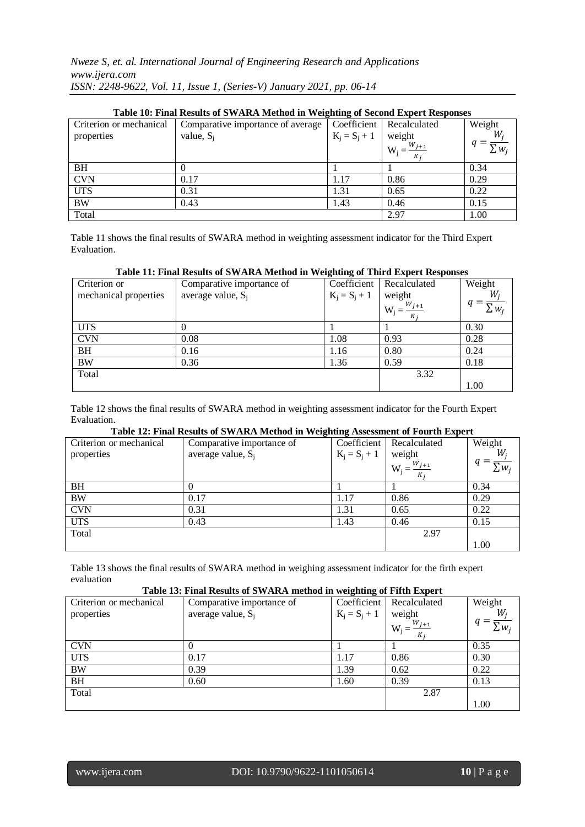| Table TV: Final Results of SWARA Method in Weighting of Second Expert Responses |                                   |                 |                             |                |  |  |  |  |
|---------------------------------------------------------------------------------|-----------------------------------|-----------------|-----------------------------|----------------|--|--|--|--|
| Criterion or mechanical                                                         | Comparative importance of average |                 | Coefficient   Recalculated  | Weight         |  |  |  |  |
| properties                                                                      | value, $S_i$                      | $K_i = S_i + 1$ | weight                      | W,             |  |  |  |  |
|                                                                                 |                                   |                 | $W_j = \frac{W_{j+1}}{K_i}$ | $\Sigma_{W_i}$ |  |  |  |  |
| <b>BH</b>                                                                       |                                   |                 |                             | 0.34           |  |  |  |  |
| <b>CVN</b>                                                                      | 0.17                              | 1.17            | 0.86                        | 0.29           |  |  |  |  |
| <b>UTS</b>                                                                      | 0.31                              | 1.31            | 0.65                        | 0.22           |  |  |  |  |
| <b>BW</b>                                                                       | 0.43                              | 1.43            | 0.46                        | 0.15           |  |  |  |  |
| Total                                                                           |                                   |                 | 2.97                        | 1.00           |  |  |  |  |

# **Table 10: Final Results of SWARA Method in Weighting of Second Expert Responses**

Table 11 shows the final results of SWARA method in weighting assessment indicator for the Third Expert Evaluation.

#### **Table 11: Final Results of SWARA Method in Weighting of Third Expert Responses**

| Criterion or          | Comparative importance of | Coefficient     | Recalculated                    | Weight        |
|-----------------------|---------------------------|-----------------|---------------------------------|---------------|
| mechanical properties | average value, $S_i$      | $K_i = S_i + 1$ | weight                          | W.            |
|                       |                           |                 | $W_i = \frac{W_{j+1}}{W_{i+1}}$ | $\subset W_i$ |
| <b>UTS</b>            |                           |                 |                                 | 0.30          |
| <b>CVN</b>            | 0.08                      | 1.08            | 0.93                            | 0.28          |
| <b>BH</b>             | 0.16                      | 1.16            | 0.80                            | 0.24          |
| <b>BW</b>             | 0.36                      | 1.36            | 0.59                            | 0.18          |
| Total                 |                           |                 | 3.32                            |               |
|                       |                           |                 |                                 | 1.00          |

Table 12 shows the final results of SWARA method in weighting assessment indicator for the Fourth Expert Evaluation.

### **Table 12: Final Results of SWARA Method in Weighting Assessment of Fourth Expert**

| Criterion or mechanical | Comparative importance of | Coefficient     | Recalculated                                                | Weight     |
|-------------------------|---------------------------|-----------------|-------------------------------------------------------------|------------|
| properties              | average value, $S_i$      | $K_j = S_j + 1$ |                                                             | $W_i$      |
|                         |                           |                 | weight<br>$V = \frac{W_{j+1}}{W_{j+1}}$<br>$W_i =$<br>$K_i$ | $\sum w_i$ |
| BH                      | U                         |                 |                                                             | 0.34       |
| <b>BW</b>               | 0.17                      | 1.17            | 0.86                                                        | 0.29       |
| <b>CVN</b>              | 0.31                      | 1.31            | 0.65                                                        | 0.22       |
| <b>UTS</b>              | 0.43                      | 1.43            | 0.46                                                        | 0.15       |
| Total                   |                           |                 | 2.97                                                        |            |
|                         |                           |                 |                                                             | 1.00       |

Table 13 shows the final results of SWARA method in weighing assessment indicator for the firth expert evaluation

# **Table 13: Final Results of SWARA method in weighting of Fifth Expert**

| Criterion or mechanical | Comparative importance of | Coefficient     | Recalculated                                                | Weight                |
|-------------------------|---------------------------|-----------------|-------------------------------------------------------------|-----------------------|
| properties              | average value, $S_i$      | $K_i = S_i + 1$ |                                                             | $W_i$                 |
|                         |                           |                 | weight<br>W <sub>i</sub> = $\frac{W_{j+1}}{W_{j}}$<br>$K_i$ | $\overline{\sum w_i}$ |
| <b>CVN</b>              |                           |                 |                                                             | 0.35                  |
| <b>UTS</b>              | 0.17                      | 1.17            | 0.86                                                        | 0.30                  |
| <b>BW</b>               | 0.39                      | 1.39            | 0.62                                                        | 0.22                  |
| <b>BH</b>               | 0.60                      | 1.60            | 0.39                                                        | 0.13                  |
| Total                   |                           |                 | 2.87                                                        |                       |
|                         |                           |                 |                                                             | 1.00                  |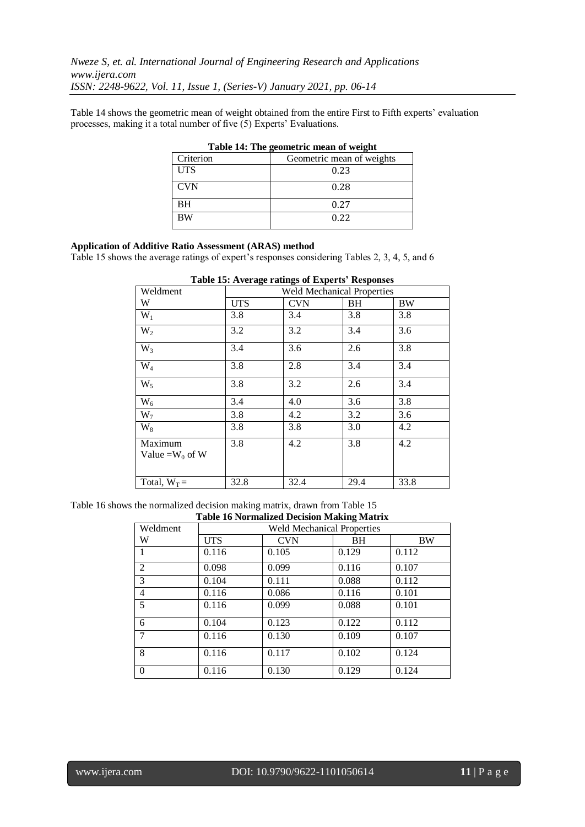Table 14 shows the geometric mean of weight obtained from the entire First to Fifth experts' evaluation processes, making it a total number of five (5) Experts' Evaluations.

|            | Table 14: The geometric mean of weight |
|------------|----------------------------------------|
| Criterion  | Geometric mean of weights              |
| <b>UTS</b> | 0.23                                   |
| <b>CVN</b> | 0.28                                   |
| <b>BH</b>  | 0.27                                   |
| <b>BW</b>  | 0.22                                   |

| Table 14: The geometric mean of weight |  |
|----------------------------------------|--|
|----------------------------------------|--|

# **Application of Additive Ratio Assessment (ARAS) method**

Table 15 shows the average ratings of expert's responses considering Tables 2, 3, 4, 5, and 6

|                               | rabit reversing ratings of Experts responses |            |      |      |  |
|-------------------------------|----------------------------------------------|------------|------|------|--|
| Weldment                      | <b>Weld Mechanical Properties</b>            |            |      |      |  |
| W                             | <b>UTS</b>                                   | <b>CVN</b> | BH   | BW   |  |
| $W_1$                         | 3.8                                          | 3.4        | 3.8  | 3.8  |  |
| $W_2$                         | 3.2                                          | 3.2        | 3.4  | 3.6  |  |
| $W_3$                         | 3.4                                          | 3.6        | 2.6  | 3.8  |  |
| $W_4$                         | 3.8                                          | 2.8        | 3.4  | 3.4  |  |
| $W_5$                         | 3.8                                          | 3.2        | 2.6  | 3.4  |  |
| $W_6$                         | 3.4                                          | 4.0        | 3.6  | 3.8  |  |
| $W_7$                         | 3.8                                          | 4.2        | 3.2  | 3.6  |  |
| $W_8$                         | 3.8                                          | 3.8        | 3.0  | 4.2  |  |
| Maximum<br>Value = $W_0$ of W | 3.8                                          | 4.2        | 3.8  | 4.2  |  |
| Total, $W_T =$                | 32.8                                         | 32.4       | 29.4 | 33.8 |  |

| <b>Table 15: Average ratings of Experts' Responses</b> |
|--------------------------------------------------------|
|--------------------------------------------------------|

# Table 16 shows the normalized decision making matrix, drawn from Table 15

| <b>Table 16 Normalized Decision Making Matrix</b> |                                   |            |           |           |
|---------------------------------------------------|-----------------------------------|------------|-----------|-----------|
| Weldment                                          | <b>Weld Mechanical Properties</b> |            |           |           |
| W                                                 | <b>UTS</b>                        | <b>CVN</b> | <b>BH</b> | <b>BW</b> |
| 1                                                 | 0.116                             | 0.105      | 0.129     | 0.112     |
| 2                                                 | 0.098                             | 0.099      | 0.116     | 0.107     |
| 3                                                 | 0.104                             | 0.111      | 0.088     | 0.112     |
| $\overline{4}$                                    | 0.116                             | 0.086      | 0.116     | 0.101     |
| 5                                                 | 0.116                             | 0.099      | 0.088     | 0.101     |
| 6                                                 | 0.104                             | 0.123      | 0.122     | 0.112     |
| 7                                                 | 0.116                             | 0.130      | 0.109     | 0.107     |
| 8                                                 | 0.116                             | 0.117      | 0.102     | 0.124     |
| $\overline{0}$                                    | 0.116                             | 0.130      | 0.129     | 0.124     |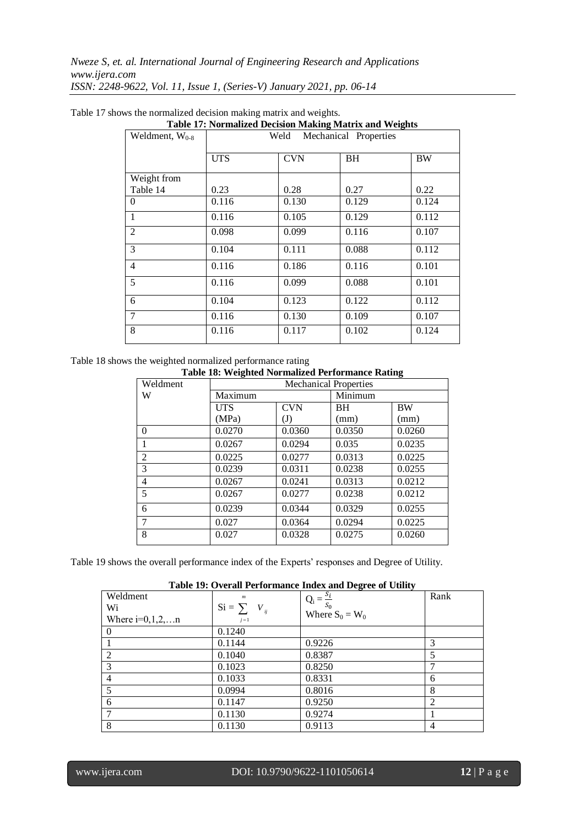| Weldment, $W_{0-8}$ | Weld<br>Mechanical Properties |            |           |           |
|---------------------|-------------------------------|------------|-----------|-----------|
|                     | <b>UTS</b>                    | <b>CVN</b> | <b>BH</b> | <b>BW</b> |
| Weight from         |                               |            |           |           |
| Table 14            | 0.23                          | 0.28       | 0.27      | 0.22      |
| 0                   | 0.116                         | 0.130      | 0.129     | 0.124     |
| 1                   | 0.116                         | 0.105      | 0.129     | 0.112     |
| $\overline{2}$      | 0.098                         | 0.099      | 0.116     | 0.107     |
| 3                   | 0.104                         | 0.111      | 0.088     | 0.112     |
| 4                   | 0.116                         | 0.186      | 0.116     | 0.101     |
| 5                   | 0.116                         | 0.099      | 0.088     | 0.101     |
| 6                   | 0.104                         | 0.123      | 0.122     | 0.112     |
| 7                   | 0.116                         | 0.130      | 0.109     | 0.107     |
| 8                   | 0.116                         | 0.117      | 0.102     | 0.124     |

Table 17 shows the normalized decision making matrix and weights.

**Table 17: Normalized Decision Making Matrix and Weights**

Table 18 shows the weighted normalized performance rating

|  | <b>Table 18: Weighted Normalized Performance Rating</b> |
|--|---------------------------------------------------------|
|  |                                                         |

| Weldment       | <b>Mechanical Properties</b> |            |           |           |
|----------------|------------------------------|------------|-----------|-----------|
| W              | Maximum                      |            | Minimum   |           |
|                | <b>UTS</b>                   | <b>CVN</b> | <b>BH</b> | <b>BW</b> |
|                | (MPa)                        | (J)        | (mm)      | (mm)      |
| $\Omega$       | 0.0270                       | 0.0360     | 0.0350    | 0.0260    |
|                | 0.0267                       | 0.0294     | 0.035     | 0.0235    |
| $\overline{c}$ | 0.0225                       | 0.0277     | 0.0313    | 0.0225    |
| 3              | 0.0239                       | 0.0311     | 0.0238    | 0.0255    |
| 4              | 0.0267                       | 0.0241     | 0.0313    | 0.0212    |
| 5              | 0.0267                       | 0.0277     | 0.0238    | 0.0212    |
| 6              | 0.0239                       | 0.0344     | 0.0329    | 0.0255    |
| 7              | 0.027                        | 0.0364     | 0.0294    | 0.0225    |
| 8              | 0.027                        | 0.0328     | 0.0275    | 0.0260    |

Table 19 shows the overall performance index of the Experts' responses and Degree of Utility.

**Table 19: Overall Performance Index and Degree of Utility**

| Weldment          | $\boldsymbol{m}$   | $Q_i = \frac{S_i}{a}$ | Rank |
|-------------------|--------------------|-----------------------|------|
| Wi                | $Si = \sum V_{ij}$ | $S_0$                 |      |
| Where $i=0,1,2,n$ | $j=1$              | Where $S_0 = W_0$     |      |
| $\Omega$          | 0.1240             |                       |      |
|                   | 0.1144             | 0.9226                | 3    |
| 2                 | 0.1040             | 0.8387                | 5    |
| 3                 | 0.1023             | 0.8250                | ┑    |
| 4                 | 0.1033             | 0.8331                | 6    |
| 5                 | 0.0994             | 0.8016                | 8    |
| 6                 | 0.1147             | 0.9250                | 2    |
|                   | 0.1130             | 0.9274                |      |
| 8                 | 0.1130             | 0.9113                | 4    |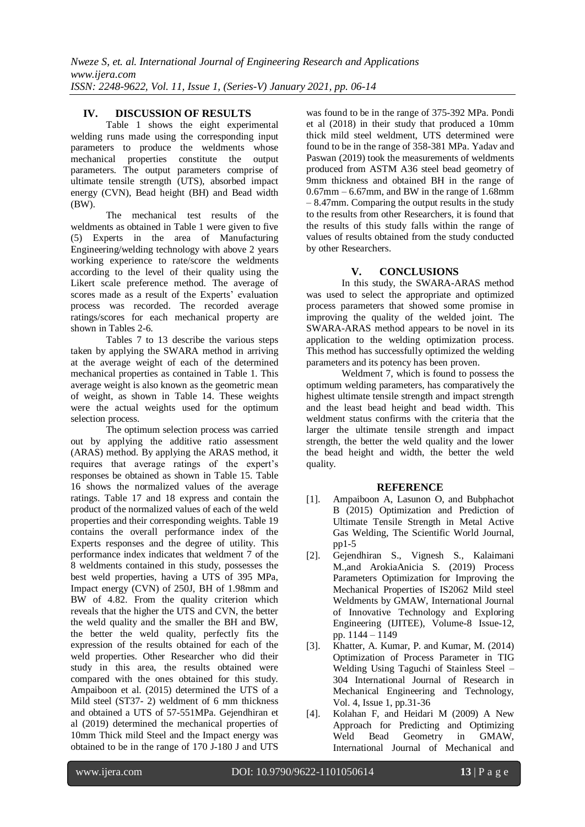# **IV. DISCUSSION OF RESULTS**

Table 1 shows the eight experimental welding runs made using the corresponding input parameters to produce the weldments whose mechanical properties constitute the output parameters. The output parameters comprise of ultimate tensile strength (UTS), absorbed impact energy (CVN), Bead height (BH) and Bead width (BW).

The mechanical test results of the weldments as obtained in Table 1 were given to five (5) Experts in the area of Manufacturing Engineering/welding technology with above 2 years working experience to rate/score the weldments according to the level of their quality using the Likert scale preference method. The average of scores made as a result of the Experts' evaluation process was recorded. The recorded average ratings/scores for each mechanical property are shown in Tables 2-6.

Tables 7 to 13 describe the various steps taken by applying the SWARA method in arriving at the average weight of each of the determined mechanical properties as contained in Table 1. This average weight is also known as the geometric mean of weight, as shown in Table 14. These weights were the actual weights used for the optimum selection process.

The optimum selection process was carried out by applying the additive ratio assessment (ARAS) method. By applying the ARAS method, it requires that average ratings of the expert's responses be obtained as shown in Table 15. Table 16 shows the normalized values of the average ratings. Table 17 and 18 express and contain the product of the normalized values of each of the weld properties and their corresponding weights. Table 19 contains the overall performance index of the Experts responses and the degree of utility. This performance index indicates that weldment 7 of the 8 weldments contained in this study, possesses the best weld properties, having a UTS of 395 MPa, Impact energy (CVN) of 250J, BH of 1.98mm and BW of 4.82. From the quality criterion which reveals that the higher the UTS and CVN, the better the weld quality and the smaller the BH and BW, the better the weld quality, perfectly fits the expression of the results obtained for each of the weld properties. Other Researcher who did their study in this area, the results obtained were compared with the ones obtained for this study. Ampaiboon et al. (2015) determined the UTS of a Mild steel (ST37- 2) weldment of 6 mm thickness and obtained a UTS of 57-551MPa. Gejendhiran et al (2019) determined the mechanical properties of 10mm Thick mild Steel and the Impact energy was obtained to be in the range of 170 J-180 J and UTS was found to be in the range of 375-392 MPa. Pondi et al (2018) in their study that produced a 10mm thick mild steel weldment, UTS determined were found to be in the range of 358-381 MPa. Yadav and Paswan (2019) took the measurements of weldments produced from ASTM A36 steel bead geometry of 9mm thickness and obtained BH in the range of  $0.67$ mm –  $6.67$ mm, and BW in the range of 1.68mm – 8.47mm. Comparing the output results in the study to the results from other Researchers, it is found that the results of this study falls within the range of values of results obtained from the study conducted by other Researchers.

# **V. CONCLUSIONS**

In this study, the SWARA-ARAS method was used to select the appropriate and optimized process parameters that showed some promise in improving the quality of the welded joint. The SWARA-ARAS method appears to be novel in its application to the welding optimization process. This method has successfully optimized the welding parameters and its potency has been proven.

Weldment 7, which is found to possess the optimum welding parameters, has comparatively the highest ultimate tensile strength and impact strength and the least bead height and bead width. This weldment status confirms with the criteria that the larger the ultimate tensile strength and impact strength, the better the weld quality and the lower the bead height and width, the better the weld quality.

### **REFERENCE**

- [1]. Ampaiboon A, Lasunon O, and Bubphachot B (2015) Optimization and Prediction of Ultimate Tensile Strength in Metal Active Gas Welding, The Scientific World Journal,  $pp1-5$
- [2]. Gejendhiran S., Vignesh S., Kalaimani M.,and ArokiaAnicia S. (2019) Process Parameters Optimization for Improving the Mechanical Properties of IS2062 Mild steel Weldments by GMAW, International Journal of Innovative Technology and Exploring Engineering (IJITEE), Volume-8 Issue-12, pp. 1144 – 1149
- [3]. Khatter, A. Kumar, P. and Kumar, M. (2014) Optimization of Process Parameter in TIG Welding Using Taguchi of Stainless Steel – 304 International Journal of Research in Mechanical Engineering and Technology, Vol. 4, Issue 1, pp.31-36
- [4]. Kolahan F, and Heidari M (2009) A New Approach for Predicting and Optimizing Weld Bead Geometry in GMAW, International Journal of Mechanical and